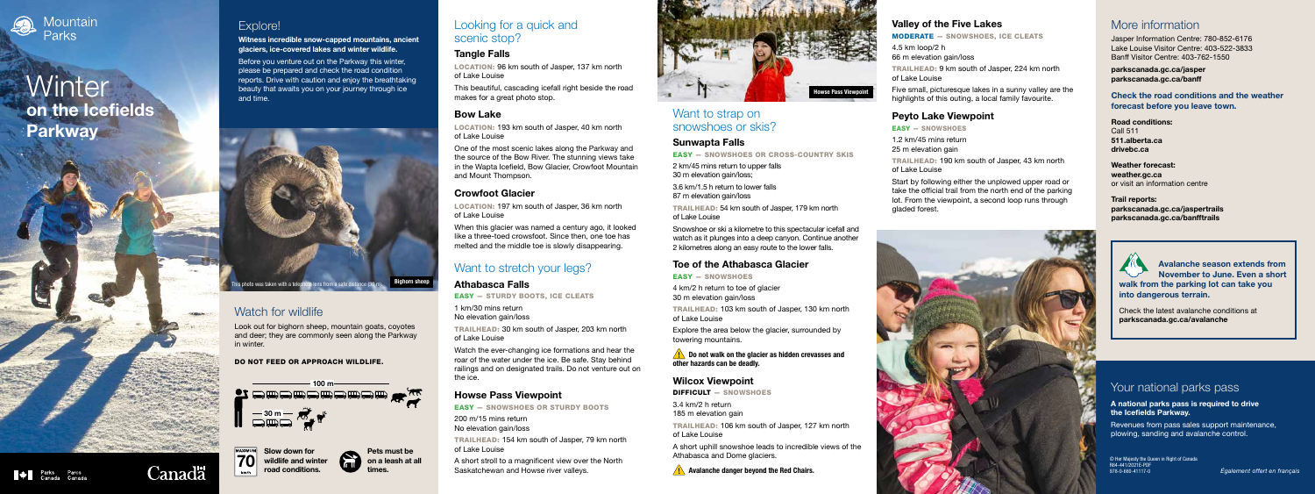

# **Winter** on the Icefields **Parkway**

## Valley of the Five Lakes

MODERATE — SNOWSHOES, ICE CLEATS

4.5 km loop/2 h 66 m elevation gain/loss

TRAILHEAD: 9 km south of Jasper, 224 km north of Lake Louise

Five small, picturesque lakes in a sunny valley are the highlights of this outing, a local family favourite.

#### Peyto Lake Viewpoint

EASY — SNOWSHOES

1.2 km/45 mins return 25 m elevation gain

TRAILHEAD: 190 km south of Jasper, 43 km north of Lake Louise

Start by following either the unplowed upper road or take the official trail from the north end of the parking lot. From the viewpoint, a second loop runs through gladed forest.

#### Looking for a quick and scenic stop?

#### Tangle Falls

LOCATION: 96 km south of Jasper, 137 km north of Lake Louise

This beautiful, cascading icefall right beside the road makes for a great photo stop.

#### Bow Lake

LOCATION: 193 km south of Jasper, 40 km north of Lake Louise

One of the most scenic lakes along the Parkway and the source of the Bow River. The stunning views take in the Wapta Icefield, Bow Glacier, Crowfoot Mountain and Mount Thompson.

#### Crowfoot Glacier

LOCATION: 197 km south of Jasper, 36 km north of Lake Louise

When this glacier was named a century ago, it looked like a three-toed crowsfoot. Since then, one toe has melted and the middle toe is slowly disappearing.

### Want to stretch your legs?

#### Athabasca Falls

EASY — STURDY BOOTS, ICE CLEATS

1 km/30 mins return No elevation gain/loss

TRAILHEAD: 30 km south of Jasper, 203 km north of Lake Louise

Watch the ever-changing ice formations and hear the roar of the water under the ice. Be safe. Stay behind railings and on designated trails. Do not venture out on the ice.

 $\sqrt{\mathbf{R}}$  Do not walk on the glacier as hidden crevasses and other hazards can be deadly.

#### Howse Pass Viewpoint

EASY — SNOWSHOES OR STURDY BOOTS 200 m/15 mins return No elevation gain/loss TRAILHEAD: 154 km south of Jasper, 79 km north of Lake Louise A short stroll to a magnificent view over the North

Saskatchewan and Howse river valleys.









Explore!

Witness incredible snow-capped mountains, ancient

#### **MUNIXAM** Slow down for  $70$ wildlife and winter road conditions.

glaciers, ice-covered lakes and winter wildlife. Before you venture out on the Parkway this winter, please be prepared and check the road condition reports. Drive with caution and enjoy the breathtaking beauty that awaits you on your journey through ice

and time.





Look out for bighorn sheep, mountain goats, coyotes and deer; they are commonly seen along the Parkway in winter.

#### DO NOT FEED OR APPROACH WILDLIFE.

Bighorn sheep

#### Want to strap on snowshoes or skis?

#### Sunwapta Falls

EASY — SNOWSHOES OR CROSS-COUNTRY SKIS

2 km/45 mins return to upper falls 30 m elevation gain/loss;

3.6 km/1.5 h return to lower falls 87 m elevation gain/loss

TRAILHEAD: 54 km south of Jasper, 179 km north of Lake Louise

Snowshoe or ski a kilometre to this spectacular icefall and watch as it plunges into a deep canyon. Continue another 2 kilometres along an easy route to the lower falls.

#### Toe of the Athabasca Glacier

EASY — SNOWSHOES

4 km/2 h return to toe of glacier 30 m elevation gain/loss

TRAILHEAD: 103 km south of Jasper, 130 km north of Lake Louise

Explore the area below the glacier, surrounded by towering mountains.

#### Wilcox Viewpoint

DIFFICULT — SNOWSHOES

3.4 km/2 h return 185 m elevation gain

TRAILHEAD: 106 km south of Jasper, 127 km north of Lake Louise



**Signalized** 

Canadä

A short uphill snowshoe leads to incredible views of the Athabasca and Dome glaciers.

### More information

Jasper Information Centre: 780-852-6176 Lake Louise Visitor Centre: 403-522-3833 Banff Visitor Centre: 403-762-1550

parkscanada.gc.ca/jasper parkscanada.gc.ca/banff

Check the road conditions and the weather forecast before you leave town.

Road conditions: Call 511 511.alberta.ca drivebc.ca



Weather forecast: weather.gc.ca or visit an information centre

Trail reports: parkscanada.gc.ca/jaspertrails parkscanada.gc.ca/banfftrails



#### Pets must be on a leash at all

© Her Majesty the Queen in Right of Canada R64-441/2021E-PDF 978-0-660-41117-0

## Your national parks pass

A national parks pass is required to drive the Icefields Parkway.

Revenues from pass sales support maintenance, plowing, sanding and avalanche control.

Avalanche season extends from November to June. Even a short walk from the parking lot can take you into dangerous terrain.

Check the latest avalanche conditions at parkscanada.gc.ca/avalanche